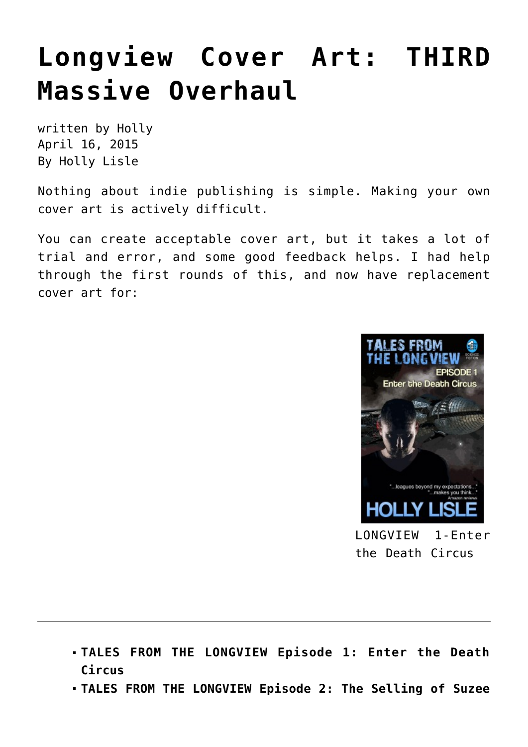## **[Longview Cover Art: THIRD](https://hollylisle.com/longview-cover-art-third-massive-overhaul/) [Massive Overhaul](https://hollylisle.com/longview-cover-art-third-massive-overhaul/)**

written by Holly April 16, 2015 [By Holly Lisle](https://hollylisle.com)

Nothing about indie publishing is simple. Making your own cover art is actively difficult.

You can create acceptable cover art, but it takes a lot of trial and error, and some good feedback helps. I had help through the first rounds of this, and now have replacement cover art for:



LONGVIEW 1-Enter the Death Circus

- **TALES FROM THE LONGVIEW Episode 1: Enter the Death Circus**
- **TALES FROM THE LONGVIEW Episode 2: The Selling of Suzee**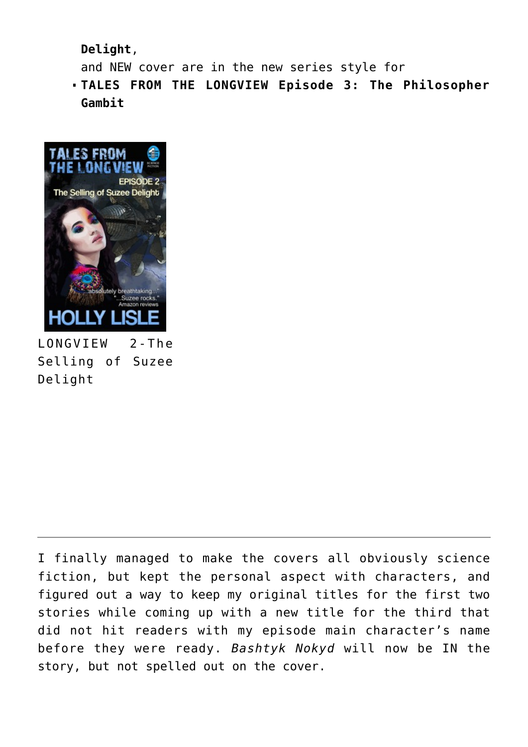**Delight**,

and NEW cover are in the new series style for

**TALES FROM THE LONGVIEW Episode 3: The Philosopher Gambit**



Selling of Suzee Delight

I finally managed to make the covers all obviously science fiction, but kept the personal aspect with characters, and figured out a way to keep my original titles for the first two stories while coming up with a new title for the third that did not hit readers with my episode main character's name before they were ready. *Bashtyk Nokyd* will now be IN the story, but not spelled out on the cover.